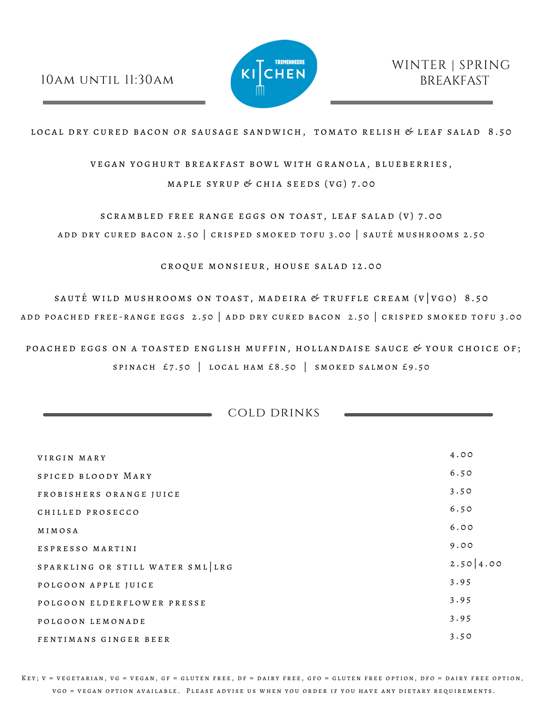## 10am until 11:30am



LOCAL DRY CURED BACON OR SAUSAGE SANDWICH, TOMATO RELISH & LEAF SALAD 8.50

VEGAN YOGHURT BREAKFAST BOWL WITH GRANOLA, BLUEBERRIES, MAPLE SYRUP  $&$  CHIA SEEDS (VG) 7.00

SCRAMBLED FREE RANGE EGGS ON TOAST, LEAF SALAD (V) 7.00 ADD DRY CURED BACON 2.50 | CRISPED SMOKED TOFU 3.00 | SAUTÉ MUSHROOMS 2.50

CROQUE MONSIEUR, HOUSE SALAD 12.00

SAUTÉ WILD MUSHROOMS ON TOAST, MADEIRA & TRUFFLE CREAM ( $V|VGO$ ) 8.50 ADD POACHED FREE-RANGE EGGS 2.50 | ADD DRY CURED BACON 2.50 | CRISPED SMOKED TOFU 3.00

POACHED EGGS ON A TOASTED ENGLISH MUFFIN, HOLLANDAISE SAUCE  $\mathscr G$  YOUR CHOICE OF; SPINACH  $£7.50$  | LOCAL HAM £8.50 | SMOKED SALMON £9.50

cold drinks

| VIRGIN MARY                      | 4.00        |
|----------------------------------|-------------|
| SPICED BLOODY MARY               | 6.50        |
| FROBISHERS ORANGE JUICE          | 3.50        |
| CHILLED PROSECCO                 | 6.50        |
| MIMOSA                           | 6.00        |
| ESPRESSO MARTINI                 | 9.00        |
| SPARKLING OR STILL WATER SML LRG | 2.50   4.00 |
| POLGOON APPLE JUICE              | 3.95        |
| POLGOON ELDERFLOWER PRESSE       | 3.95        |
| POLGOON LEMONADE                 | 3.95        |
| FENTIMANS GINGER BEER            | 3.50        |

KEY; V = VEGETARIAN, VG = VEGAN, GF = GLUTEN FREE, DF = DAIRY FREE, GFO = GLUTEN FREE OPTION, DFO = DAIRY FREE OPTION, V G O = V E GAN OPTION AVAILABLE. PLEASE ADVISE US WHEN YOU ORDER IF YOU HAVE ANY DIETARY REQUIREMENTS.